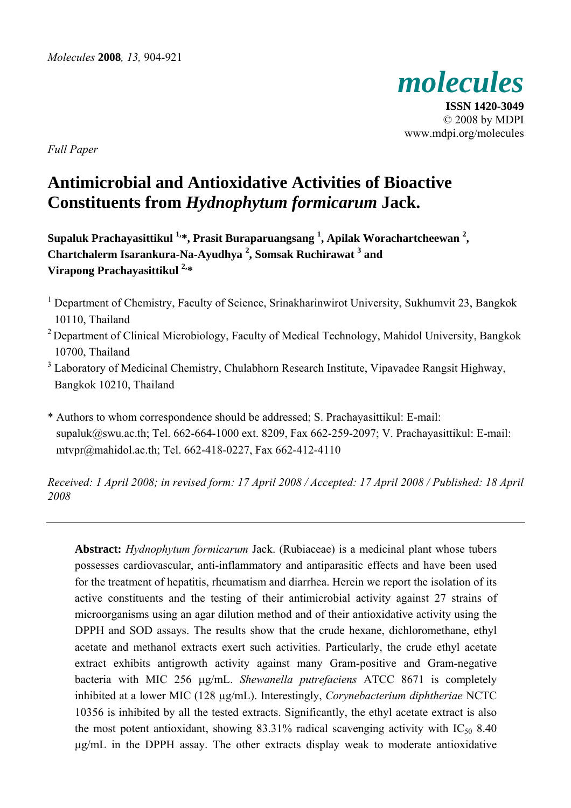

**ISSN 1420-3049**  © 2008 by MDPI www.mdpi.org/molecules

*Full Paper* 

# **Antimicrobial and Antioxidative Activities of Bioactive Constituents from** *Hydnophytum formicarum* **Jack.**

**Supaluk Prachayasittikul 1,\*, Prasit Buraparuangsang 1 , Apilak Worachartcheewan 2 , Chartchalerm Isarankura-Na-Ayudhya <sup>2</sup> , Somsak Ruchirawat <sup>3</sup> and Virapong Prachayasittikul 2,\*** 

- <sup>1</sup> Department of Chemistry, Faculty of Science, Srinakharinwirot University, Sukhumvit 23, Bangkok 10110, Thailand
- <sup>2</sup> Department of Clinical Microbiology, Faculty of Medical Technology, Mahidol University, Bangkok 10700, Thailand
- $3$  Laboratory of Medicinal Chemistry, Chulabhorn Research Institute, Vipavadee Rangsit Highway, Bangkok 10210, Thailand

\* Authors to whom correspondence should be addressed; S. Prachayasittikul: E-mail: supaluk@swu.ac.th; Tel. 662-664-1000 ext. 8209, Fax 662-259-2097; V. Prachayasittikul: E-mail: mtvpr@mahidol.ac.th; Tel. 662-418-0227, Fax 662-412-4110

*Received: 1 April 2008; in revised form: 17 April 2008 / Accepted: 17 April 2008 / Published: 18 April 2008* 

**Abstract:** *Hydnophytum formicarum* Jack. (Rubiaceae) is a medicinal plant whose tubers possesses cardiovascular, anti-inflammatory and antiparasitic effects and have been used for the treatment of hepatitis, rheumatism and diarrhea. Herein we report the isolation of its active constituents and the testing of their antimicrobial activity against 27 strains of microorganisms using an agar dilution method and of their antioxidative activity using the DPPH and SOD assays. The results show that the crude hexane, dichloromethane, ethyl acetate and methanol extracts exert such activities. Particularly, the crude ethyl acetate extract exhibits antigrowth activity against many Gram-positive and Gram-negative bacteria with MIC 256 μg/mL. *Shewanella putrefaciens* ATCC 8671 is completely inhibited at a lower MIC (128 μg/mL). Interestingly, *Corynebacterium diphtheriae* NCTC 10356 is inhibited by all the tested extracts. Significantly, the ethyl acetate extract is also the most potent antioxidant, showing  $83.31\%$  radical scavenging activity with IC<sub>50</sub> 8.40 μg/mL in the DPPH assay. The other extracts display weak to moderate antioxidative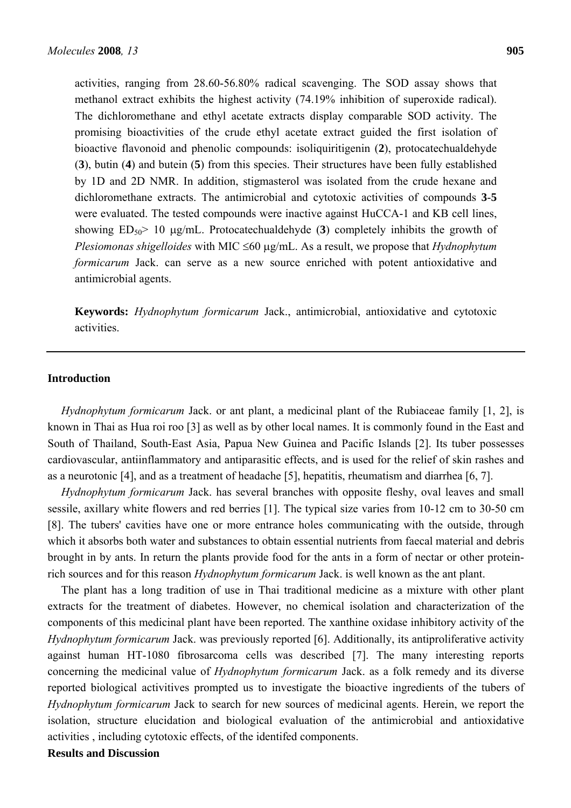activities, ranging from 28.60-56.80% radical scavenging. The SOD assay shows that methanol extract exhibits the highest activity (74.19% inhibition of superoxide radical). The dichloromethane and ethyl acetate extracts display comparable SOD activity. The promising bioactivities of the crude ethyl acetate extract guided the first isolation of bioactive flavonoid and phenolic compounds: isoliquiritigenin (**2**), protocatechualdehyde (**3**), butin (**4**) and butein (**5**) from this species. Their structures have been fully established by 1D and 2D NMR. In addition, stigmasterol was isolated from the crude hexane and dichloromethane extracts. The antimicrobial and cytotoxic activities of compounds **3**-**5** were evaluated. The tested compounds were inactive against HuCCA-1 and KB cell lines, showing  $ED_{50}$  10  $\mu$ g/mL. Protocatechualdehyde (3) completely inhibits the growth of *Plesiomonas shigelloides* with MIC ≤60 μg/mL. As a result, we propose that *Hydnophytum formicarum* Jack. can serve as a new source enriched with potent antioxidative and antimicrobial agents.

**Keywords:** *Hydnophytum formicarum* Jack., antimicrobial, antioxidative and cytotoxic activities.

# **Introduction**

*Hydnophytum formicarum* Jack. or ant plant, a medicinal plant of the Rubiaceae family [1, 2], is known in Thai as Hua roi roo [3] as well as by other local names. It is commonly found in the East and South of Thailand, South-East Asia, Papua New Guinea and Pacific Islands [2]. Its tuber possesses cardiovascular, antiinflammatory and antiparasitic effects, and is used for the relief of skin rashes and as a neurotonic [4], and as a treatment of headache [5], hepatitis, rheumatism and diarrhea [6, 7].

*Hydnophytum formicarum* Jack. has several branches with opposite fleshy, oval leaves and small sessile, axillary white flowers and red berries [1]. The typical size varies from 10-12 cm to 30-50 cm [8]. The tubers' cavities have one or more entrance holes communicating with the outside, through which it absorbs both water and substances to obtain essential nutrients from faecal material and debris brought in by ants. In return the plants provide food for the ants in a form of nectar or other proteinrich sources and for this reason *Hydnophytum formicarum* Jack. is well known as the ant plant.

The plant has a long tradition of use in Thai traditional medicine as a mixture with other plant extracts for the treatment of diabetes. However, no chemical isolation and characterization of the components of this medicinal plant have been reported. The xanthine oxidase inhibitory activity of the *Hydnophytum formicarum* Jack. was previously reported [6]. Additionally, its antiproliferative activity against human HT-1080 fibrosarcoma cells was described [7]. The many interesting reports concerning the medicinal value of *Hydnophytum formicarum* Jack. as a folk remedy and its diverse reported biological activitives prompted us to investigate the bioactive ingredients of the tubers of *Hydnophytum formicarum* Jack to search for new sources of medicinal agents. Herein, we report the isolation, structure elucidation and biological evaluation of the antimicrobial and antioxidative activities , including cytotoxic effects, of the identifed components.

**Results and Discussion**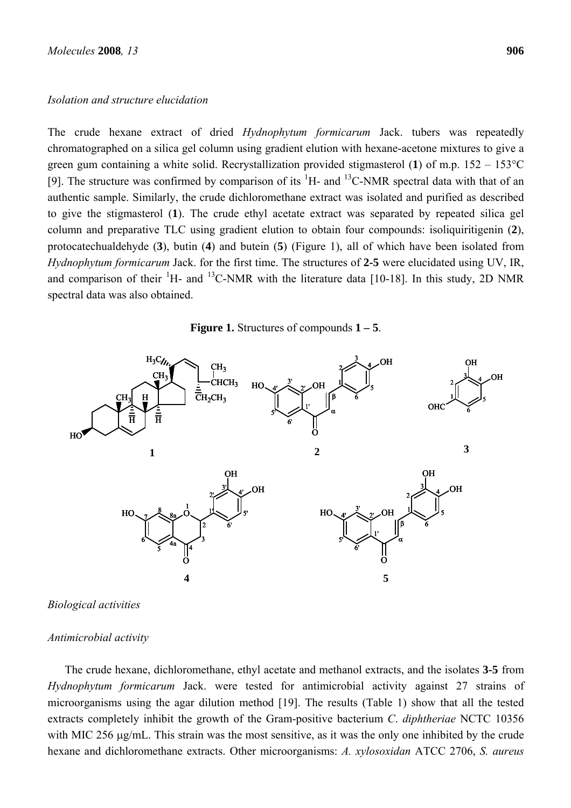#### *Isolation and structure elucidation*

The crude hexane extract of dried *Hydnophytum formicarum* Jack. tubers was repeatedly chromatographed on a silica gel column using gradient elution with hexane-acetone mixtures to give a green gum containing a white solid. Recrystallization provided stigmasterol (**1**) of m.p. 152 – 153°C [9]. The structure was confirmed by comparison of its  ${}^{1}H$ - and  ${}^{13}C$ -NMR spectral data with that of an authentic sample. Similarly, the crude dichloromethane extract was isolated and purified as described to give the stigmasterol (**1**). The crude ethyl acetate extract was separated by repeated silica gel column and preparative TLC using gradient elution to obtain four compounds: isoliquiritigenin (**2**), protocatechualdehyde (**3**), butin (**4**) and butein (**5**) (Figure 1), all of which have been isolated from *Hydnophytum formicarum* Jack. for the first time. The structures of **2-5** were elucidated using UV, IR, and comparison of their <sup>1</sup>H- and <sup>13</sup>C-NMR with the literature data [10-18]. In this study, 2D NMR spectral data was also obtained.





*Biological activities* 

## *Antimicrobial activity*

The crude hexane, dichloromethane, ethyl acetate and methanol extracts, and the isolates **3-5** from *Hydnophytum formicarum* Jack. were tested for antimicrobial activity against 27 strains of microorganisms using the agar dilution method [19]. The results (Table 1) show that all the tested extracts completely inhibit the growth of the Gram-positive bacterium *C*. *diphtheriae* NCTC 10356 with MIC 256 μg/mL. This strain was the most sensitive, as it was the only one inhibited by the crude hexane and dichloromethane extracts. Other microorganisms: *A. xylosoxidan* ATCC 2706, *S. aureus*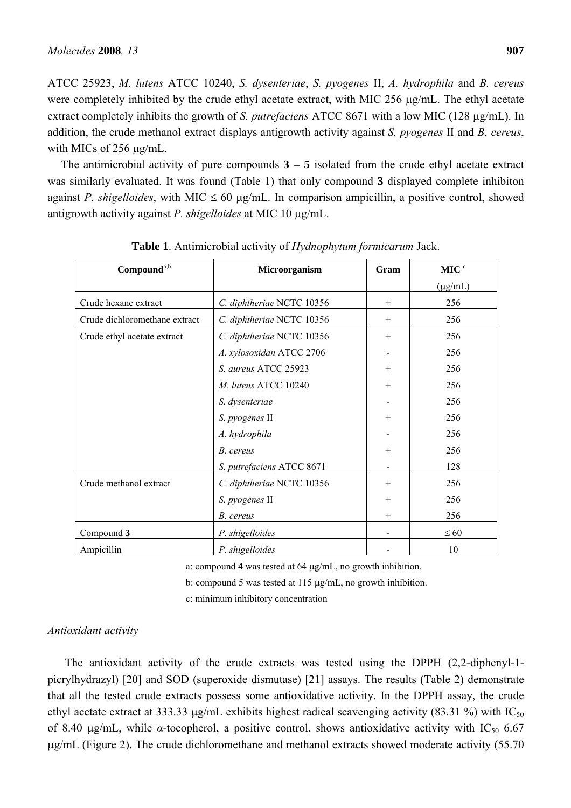ATCC 25923, *M. lutens* ATCC 10240, *S. dysenteriae*, *S. pyogenes* II, *A. hydrophila* and *B. cereus* were completely inhibited by the crude ethyl acetate extract, with MIC 256 μg/mL. The ethyl acetate extract completely inhibits the growth of *S. putrefaciens* ATCC 8671 with a low MIC (128 μg/mL). In addition, the crude methanol extract displays antigrowth activity against *S. pyogenes* II and *B. cereus*, with MICs of 256 μg/mL.

The antimicrobial activity of pure compounds **3 – 5** isolated from the crude ethyl acetate extract was similarly evaluated. It was found (Table 1) that only compound **3** displayed complete inhibiton against *P. shigelloides*, with MIC  $\leq 60 \mu g/mL$ . In comparison ampicillin, a positive control, showed antigrowth activity against *P. shigelloides* at MIC 10 μg/mL.

| Compound <sup>a,b</sup>       | Microorganism             | Gram   | MIC <sup>c</sup> |
|-------------------------------|---------------------------|--------|------------------|
|                               |                           |        | $(\mu g/mL)$     |
| Crude hexane extract          | C. diphtheriae NCTC 10356 | $^{+}$ | 256              |
| Crude dichloromethane extract | C. diphtheriae NCTC 10356 | $^{+}$ | 256              |
| Crude ethyl acetate extract   | C. diphtheriae NCTC 10356 | $+$    | 256              |
|                               | A. xylosoxidan ATCC 2706  |        | 256              |
|                               | S. aureus ATCC 25923      | $+$    | 256              |
|                               | M. lutens ATCC 10240      | $+$    | 256              |
|                               | S. dysenteriae            |        | 256              |
|                               | S. pyogenes II            | $^{+}$ | 256              |
|                               | A. hydrophila             |        | 256              |
|                               | B. cereus                 | $+$    | 256              |
|                               | S. putrefaciens ATCC 8671 |        | 128              |
| Crude methanol extract        | C. diphtheriae NCTC 10356 | $+$    | 256              |
|                               | S. pyogenes II            | $+$    | 256              |
|                               | B. cereus                 | $+$    | 256              |
| Compound 3                    | P. shigelloides           |        | $\leq 60$        |
| Ampicillin                    | P. shigelloides           |        | 10               |

**Table 1**. Antimicrobial activity of *Hydnophytum formicarum* Jack.

a: compound **4** was tested at 64 μg/mL, no growth inhibition.

b: compound 5 was tested at 115 μg/mL, no growth inhibition.

c: minimum inhibitory concentration

# *Antioxidant activity*

The antioxidant activity of the crude extracts was tested using the DPPH (2,2-diphenyl-1 picrylhydrazyl) [20] and SOD (superoxide dismutase) [21] assays. The results (Table 2) demonstrate that all the tested crude extracts possess some antioxidative activity. In the DPPH assay, the crude ethyl acetate extract at 333.33  $\mu$ g/mL exhibits highest radical scavenging activity (83.31 %) with IC<sub>50</sub> of 8.40  $\mu$ g/mL, while *α*-tocopherol, a positive control, shows antioxidative activity with IC<sub>50</sub> 6.67 μg/mL (Figure 2). The crude dichloromethane and methanol extracts showed moderate activity (55.70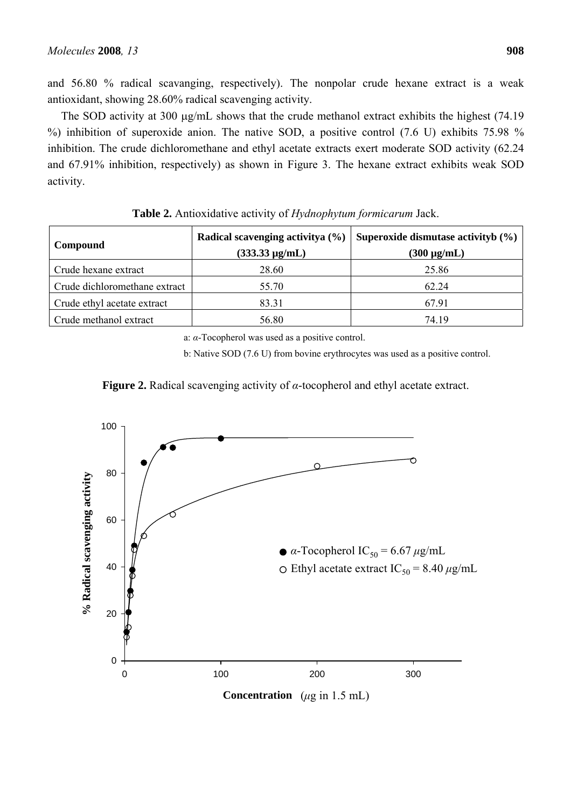and 56.80 % radical scavanging, respectively). The nonpolar crude hexane extract is a weak antioxidant, showing 28.60% radical scavenging activity.

The SOD activity at 300 μg/mL shows that the crude methanol extract exhibits the highest (74.19 %) inhibition of superoxide anion. The native SOD, a positive control (7.6 U) exhibits 75.98 % inhibition. The crude dichloromethane and ethyl acetate extracts exert moderate SOD activity (62.24 and 67.91% inhibition, respectively) as shown in Figure 3. The hexane extract exhibits weak SOD activity.

| Compound                      | Radical scavenging activity $(\% )$<br>$(333.33 \,\mu g/mL)$ | Superoxide dismutase activityb $(\% )$<br>$(300 \,\mu g/mL)$ |
|-------------------------------|--------------------------------------------------------------|--------------------------------------------------------------|
| Crude hexane extract          | 28.60                                                        | 25.86                                                        |
| Crude dichloromethane extract | 55.70                                                        | 62.24                                                        |
| Crude ethyl acetate extract   | 83.31                                                        | 67.91                                                        |
| Crude methanol extract        | 56.80                                                        | 74.19                                                        |

**Table 2.** Antioxidative activity of *Hydnophytum formicarum* Jack.

a: *α*-Tocopherol was used as a positive control.

b: Native SOD (7.6 U) from bovine erythrocytes was used as a positive control.



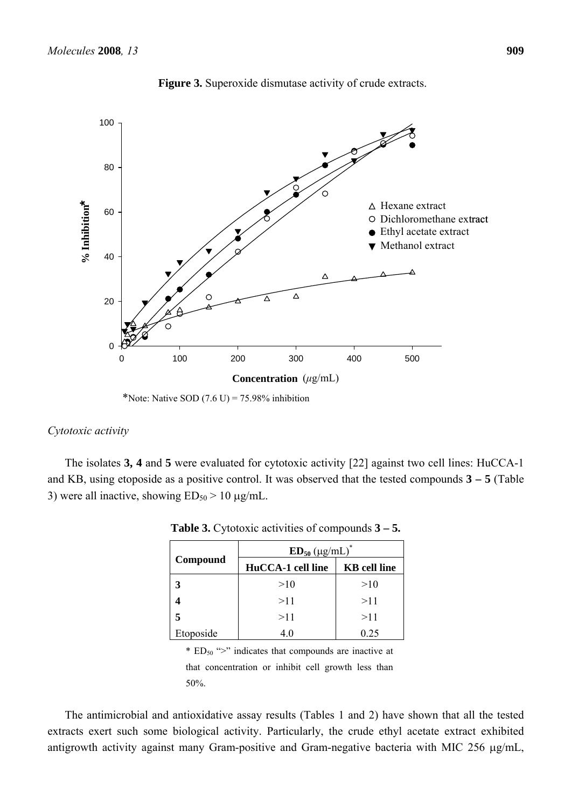

**Figure 3.** Superoxide dismutase activity of crude extracts.

\*Note: Native SOD  $(7.6 \text{ U}) = 75.98\%$  inhibition

#### *Cytotoxic activity*

The isolates **3, 4** and **5** were evaluated for cytotoxic activity [22] against two cell lines: HuCCA-1 and KB, using etoposide as a positive control. It was observed that the tested compounds **3 – 5** (Table 3) were all inactive, showing  $ED_{50} > 10 \mu g/mL$ .

|           | $ED_{50}$ (µg/mL) <sup>*</sup> |                     |  |
|-----------|--------------------------------|---------------------|--|
| Compound  | HuCCA-1 cell line              | <b>KB</b> cell line |  |
|           | >10                            | >10                 |  |
|           | >11                            | >11                 |  |
| 5         | >11                            | >11                 |  |
| Etoposide | 4.0                            | 0.25                |  |

**Table 3.** Cytotoxic activities of compounds **3 – 5.** 

\*  $ED_{50}$  ">" indicates that compounds are inactive at that concentration or inhibit cell growth less than 50%.

The antimicrobial and antioxidative assay results (Tables 1 and 2) have shown that all the tested extracts exert such some biological activity. Particularly, the crude ethyl acetate extract exhibited antigrowth activity against many Gram-positive and Gram-negative bacteria with MIC 256 μg/mL,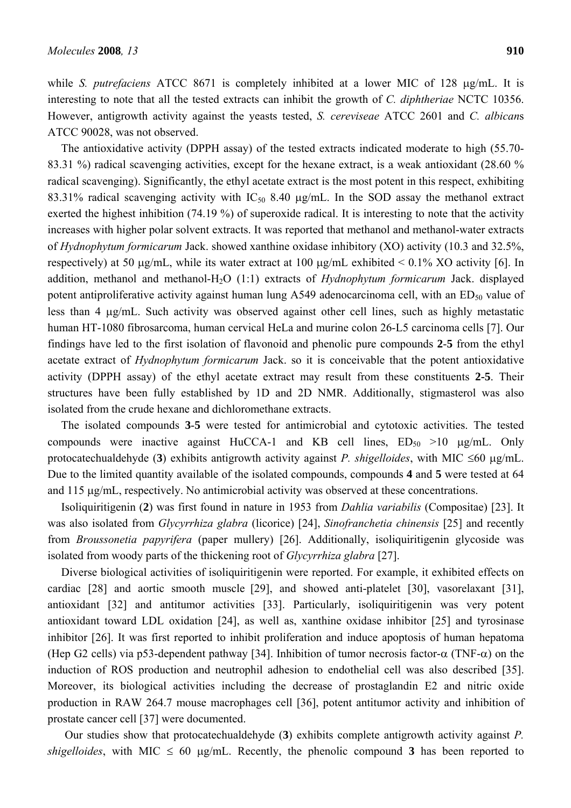while *S. putrefaciens* ATCC 8671 is completely inhibited at a lower MIC of 128 μg/mL. It is interesting to note that all the tested extracts can inhibit the growth of *C. diphtheriae* NCTC 10356. However, antigrowth activity against the yeasts tested, *S. cereviseae* ATCC 2601 and *C. albican*s ATCC 90028, was not observed.

The antioxidative activity (DPPH assay) of the tested extracts indicated moderate to high (55.70- 83.31 %) radical scavenging activities, except for the hexane extract, is a weak antioxidant (28.60 % radical scavenging). Significantly, the ethyl acetate extract is the most potent in this respect, exhibiting 83.31% radical scavenging activity with  $IC_{50}$  8.40  $\mu$ g/mL. In the SOD assay the methanol extract exerted the highest inhibition (74.19 %) of superoxide radical. It is interesting to note that the activity increases with higher polar solvent extracts. It was reported that methanol and methanol-water extracts of *Hydnophytum formicarum* Jack. showed xanthine oxidase inhibitory (XO) activity (10.3 and 32.5%, respectively) at 50 μg/mL, while its water extract at 100 μg/mL exhibited  $\leq$  0.1% XO activity [6]. In addition, methanol and methanol-H<sub>2</sub>O (1:1) extracts of *Hydnophytum formicarum* Jack. displayed potent antiproliferative activity against human lung A549 adenocarcinoma cell, with an  $ED_{50}$  value of less than 4 μg/mL. Such activity was observed against other cell lines, such as highly metastatic human HT-1080 fibrosarcoma, human cervical HeLa and murine colon 26-L5 carcinoma cells [7]. Our findings have led to the first isolation of flavonoid and phenolic pure compounds **2**-**5** from the ethyl acetate extract of *Hydnophytum formicarum* Jack. so it is conceivable that the potent antioxidative activity (DPPH assay) of the ethyl acetate extract may result from these constituents **2-5**. Their structures have been fully established by 1D and 2D NMR. Additionally, stigmasterol was also isolated from the crude hexane and dichloromethane extracts.

The isolated compounds **3**-**5** were tested for antimicrobial and cytotoxic activities. The tested compounds were inactive against HuCCA-1 and KB cell lines,  $ED_{50} > 10 \mu g/mL$ . Only protocatechualdehyde (**3**) exhibits antigrowth activity against *P. shigelloides*, with MIC ≤60 μg/mL. Due to the limited quantity available of the isolated compounds, compounds **4** and **5** were tested at 64 and 115 μg/mL, respectively. No antimicrobial activity was observed at these concentrations.

Isoliquiritigenin (**2**) was first found in nature in 1953 from *Dahlia variabilis* (Compositae) [23]. It was also isolated from *Glycyrrhiza glabra* (licorice) [24], *Sinofranchetia chinensis* [25] and recently from *Broussonetia papyrifera* (paper mullery) [26]. Additionally, isoliquiritigenin glycoside was isolated from woody parts of the thickening root of *Glycyrrhiza glabra* [27].

Diverse biological activities of isoliquiritigenin were reported. For example, it exhibited effects on cardiac [28] and aortic smooth muscle [29], and showed anti-platelet [30], vasorelaxant [31], antioxidant [32] and antitumor activities [33]. Particularly, isoliquiritigenin was very potent antioxidant toward LDL oxidation [24], as well as, xanthine oxidase inhibitor [25] and tyrosinase inhibitor [26]. It was first reported to inhibit proliferation and induce apoptosis of human hepatoma (Hep G2 cells) via p53-dependent pathway [34]. Inhibition of tumor necrosis factor-α (TNF-α) on the induction of ROS production and neutrophil adhesion to endothelial cell was also described [35]. Moreover, its biological activities including the decrease of prostaglandin E2 and nitric oxide production in RAW 264.7 mouse macrophages cell [36], potent antitumor activity and inhibition of prostate cancer cell [37] were documented.

Our studies show that protocatechualdehyde (**3**) exhibits complete antigrowth activity against *P. shigelloides*, with MIC  $\leq 60$  μg/mL. Recently, the phenolic compound 3 has been reported to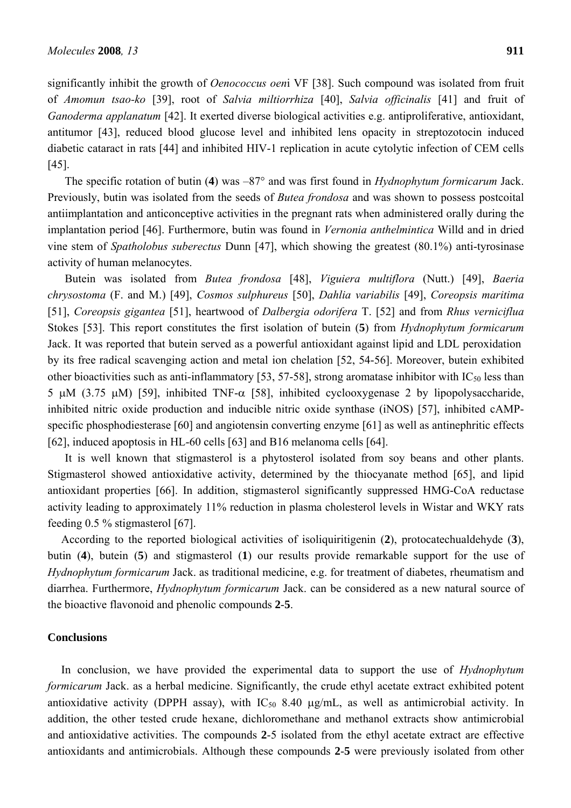significantly inhibit the growth of *Oenococcus oen*i VF [38]. Such compound was isolated from fruit of *Amomun tsao-ko* [39], root of *Salvia miltiorrhiza* [40], *Salvia officinalis* [41] and fruit of *Ganoderma applanatum* [42]. It exerted diverse biological activities e.g. antiproliferative, antioxidant, antitumor [43], reduced blood glucose level and inhibited lens opacity in streptozotocin induced diabetic cataract in rats [44] and inhibited HIV-1 replication in acute cytolytic infection of CEM cells [45].

The specific rotation of butin (**4**) was –87° and was first found in *Hydnophytum formicarum* Jack. Previously, butin was isolated from the seeds of *Butea frondosa* and was shown to possess postcoital antiimplantation and anticonceptive activities in the pregnant rats when administered orally during the implantation period [46]. Furthermore, butin was found in *Vernonia anthelmintica* Willd and in dried vine stem of *Spatholobus suberectus* Dunn [47], which showing the greatest (80.1%) anti-tyrosinase activity of human melanocytes.

Butein was isolated from *Butea frondosa* [48], *Viguiera multiflora* (Nutt.) [49], *Baeria chrysostoma* (F. and M.) [49], *Cosmos sulphureus* [50], *Dahlia variabilis* [49], *Coreopsis maritima* [51], *Coreopsis gigantea* [51], heartwood of *Dalbergia odorifera* T. [52] and from *Rhus verniciflua* Stokes [53]. This report constitutes the first isolation of butein (**5**) from *Hydnophytum formicarum* Jack. It was reported that butein served as a powerful antioxidant against lipid and LDL peroxidation by its free radical scavenging action and metal ion chelation [52, 54-56]. Moreover, butein exhibited other bioactivities such as anti-inflammatory [53, 57-58], strong aromatase inhibitor with  $IC_{50}$  less than 5 μM (3.75 μM) [59], inhibited TNF- $\alpha$  [58], inhibited cyclooxygenase 2 by lipopolysaccharide, inhibited nitric oxide production and inducible nitric oxide synthase (iNOS) [57], inhibited cAMPspecific phosphodiesterase [60] and angiotensin converting enzyme [61] as well as antinephritic effects [62], induced apoptosis in HL-60 cells [63] and B16 melanoma cells [64].

It is well known that stigmasterol is a phytosterol isolated from soy beans and other plants. Stigmasterol showed antioxidative activity, determined by the thiocyanate method [65], and lipid antioxidant properties [66]. In addition, stigmasterol significantly suppressed HMG-CoA reductase activity leading to approximately 11% reduction in plasma cholesterol levels in Wistar and WKY rats feeding 0.5 % stigmasterol [67].

According to the reported biological activities of isoliquiritigenin (**2**), protocatechualdehyde (**3**), butin (**4**), butein (**5**) and stigmasterol (**1**) our results provide remarkable support for the use of *Hydnophytum formicarum* Jack. as traditional medicine, e.g. for treatment of diabetes, rheumatism and diarrhea. Furthermore, *Hydnophytum formicarum* Jack. can be considered as a new natural source of the bioactive flavonoid and phenolic compounds **2**-**5**.

# **Conclusions**

In conclusion, we have provided the experimental data to support the use of *Hydnophytum formicarum* Jack. as a herbal medicine. Significantly, the crude ethyl acetate extract exhibited potent antioxidative activity (DPPH assay), with  $IC_{50}$  8.40  $\mu$ g/mL, as well as antimicrobial activity. In addition, the other tested crude hexane, dichloromethane and methanol extracts show antimicrobial and antioxidative activities. The compounds **2**-5 isolated from the ethyl acetate extract are effective antioxidants and antimicrobials. Although these compounds **2**-**5** were previously isolated from other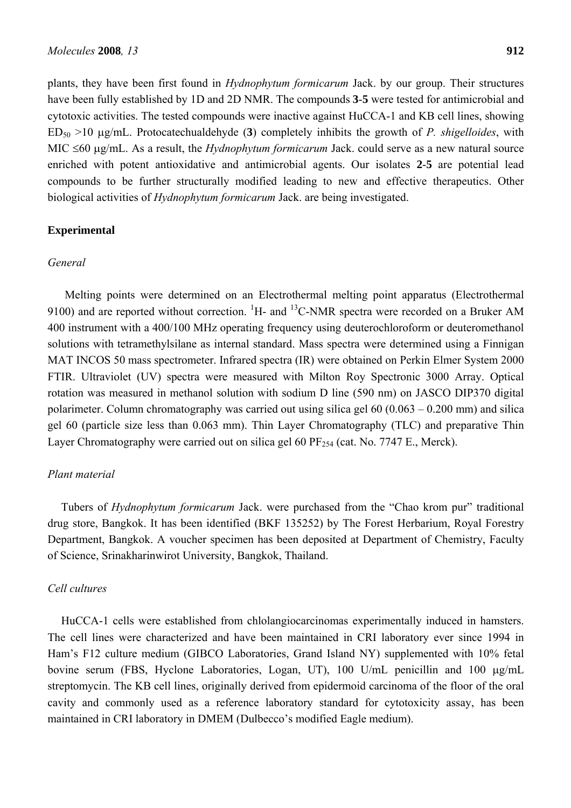plants, they have been first found in *Hydnophytum formicarum* Jack. by our group. Their structures have been fully established by 1D and 2D NMR. The compounds **3**-**5** were tested for antimicrobial and cytotoxic activities. The tested compounds were inactive against HuCCA-1 and KB cell lines, showing ED50 >10 μg/mL. Protocatechualdehyde (**3**) completely inhibits the growth of *P. shigelloides*, with MIC ≤60 μg/mL. As a result, the *Hydnophytum formicarum* Jack. could serve as a new natural source enriched with potent antioxidative and antimicrobial agents. Our isolates **2**-**5** are potential lead compounds to be further structurally modified leading to new and effective therapeutics. Other biological activities of *Hydnophytum formicarum* Jack. are being investigated.

# **Experimental**

#### *General*

Melting points were determined on an Electrothermal melting point apparatus (Electrothermal 9100) and are reported without correction.  ${}^{1}H$ - and  ${}^{13}C$ -NMR spectra were recorded on a Bruker AM 400 instrument with a 400/100 MHz operating frequency using deuterochloroform or deuteromethanol solutions with tetramethylsilane as internal standard. Mass spectra were determined using a Finnigan MAT INCOS 50 mass spectrometer. Infrared spectra (IR) were obtained on Perkin Elmer System 2000 FTIR. Ultraviolet (UV) spectra were measured with Milton Roy Spectronic 3000 Array. Optical rotation was measured in methanol solution with sodium D line (590 nm) on JASCO DIP370 digital polarimeter. Column chromatography was carried out using silica gel 60 (0.063 – 0.200 mm) and silica gel 60 (particle size less than 0.063 mm). Thin Layer Chromatography (TLC) and preparative Thin Layer Chromatography were carried out on silica gel 60  $PF_{254}$  (cat. No. 7747 E., Merck).

## *Plant material*

Tubers of *Hydnophytum formicarum* Jack. were purchased from the "Chao krom pur" traditional drug store, Bangkok. It has been identified (BKF 135252) by The Forest Herbarium, Royal Forestry Department, Bangkok. A voucher specimen has been deposited at Department of Chemistry, Faculty of Science, Srinakharinwirot University, Bangkok, Thailand.

## *Cell cultures*

HuCCA-1 cells were established from chlolangiocarcinomas experimentally induced in hamsters. The cell lines were characterized and have been maintained in CRI laboratory ever since 1994 in Ham's F12 culture medium (GIBCO Laboratories, Grand Island NY) supplemented with 10% fetal bovine serum (FBS, Hyclone Laboratories, Logan, UT), 100 U/mL penicillin and 100 μg/mL streptomycin. The KB cell lines, originally derived from epidermoid carcinoma of the floor of the oral cavity and commonly used as a reference laboratory standard for cytotoxicity assay, has been maintained in CRI laboratory in DMEM (Dulbecco's modified Eagle medium).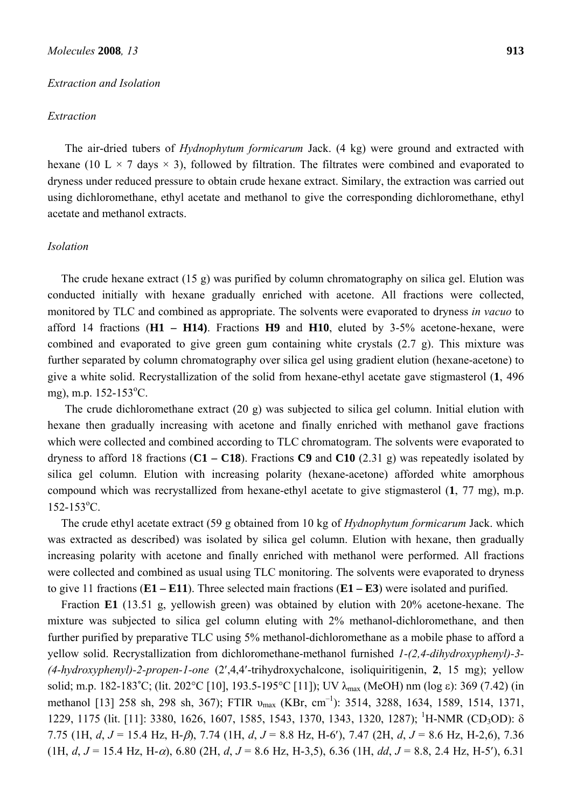#### *Molecules* **2008***, 13* **913**

#### *Extraction and Isolation*

#### *Extraction*

The air-dried tubers of *Hydnophytum formicarum* Jack. (4 kg) were ground and extracted with hexane (10 L  $\times$  7 days  $\times$  3), followed by filtration. The filtrates were combined and evaporated to dryness under reduced pressure to obtain crude hexane extract. Similary, the extraction was carried out using dichloromethane, ethyl acetate and methanol to give the corresponding dichloromethane, ethyl acetate and methanol extracts.

# *Isolation*

The crude hexane extract (15 g) was purified by column chromatography on silica gel. Elution was conducted initially with hexane gradually enriched with acetone. All fractions were collected, monitored by TLC and combined as appropriate. The solvents were evaporated to dryness *in vacuo* to afford 14 fractions (**H1 – H14)**. Fractions **H9** and **H10**, eluted by 3-5% acetone-hexane, were combined and evaporated to give green gum containing white crystals (2.7 g). This mixture was further separated by column chromatography over silica gel using gradient elution (hexane-acetone) to give a white solid. Recrystallization of the solid from hexane-ethyl acetate gave stigmasterol (**1**, 496 mg), m.p. 152-153<sup>o</sup>C.

The crude dichloromethane extract (20 g) was subjected to silica gel column. Initial elution with hexane then gradually increasing with acetone and finally enriched with methanol gave fractions which were collected and combined according to TLC chromatogram. The solvents were evaporated to dryness to afford 18 fractions (**C1 – C18**). Fractions **C9** and **C10** (2.31 g) was repeatedly isolated by silica gel column. Elution with increasing polarity (hexane-acetone) afforded white amorphous compound which was recrystallized from hexane-ethyl acetate to give stigmasterol (**1**, 77 mg), m.p.  $152 - 153$ <sup>o</sup>C.

The crude ethyl acetate extract (59 g obtained from 10 kg of *Hydnophytum formicarum* Jack. which was extracted as described) was isolated by silica gel column. Elution with hexane, then gradually increasing polarity with acetone and finally enriched with methanol were performed. All fractions were collected and combined as usual using TLC monitoring. The solvents were evaporated to dryness to give 11 fractions (**E1 – E11**). Three selected main fractions (**E1 – E3**) were isolated and purified.

Fraction **E1** (13.51 g, yellowish green) was obtained by elution with 20% acetone-hexane. The mixture was subjected to silica gel column eluting with 2% methanol-dichloromethane, and then further purified by preparative TLC using 5% methanol-dichloromethane as a mobile phase to afford a yellow solid. Recrystallization from dichloromethane-methanol furnished *1-(2,4-dihydroxyphenyl)-3- (4-hydroxyphenyl)-2-propen-1-one* (2′,4,4′-trihydroxychalcone, isoliquiritigenin, **2**, 15 mg); yellow solid; m.p. 182-183°C; (lit. 202°C [10], 193.5-195°C [11]); UV λ<sub>max</sub> (MeOH) nm (log ε): 369 (7.42) (in methanol [13] 258 sh, 298 sh, 367); FTIR  $v_{max}$  (KBr, cm<sup>-1</sup>): 3514, 3288, 1634, 1589, 1514, 1371, 1229, 1175 (lit. [11]: 3380, 1626, 1607, 1585, 1543, 1370, 1343, 1320, 1287); <sup>1</sup>H-NMR (CD<sub>3</sub>OD): δ 7.75 (1H, *d*, *J* = 15.4 Hz, H-β), 7.74 (1H, *d*, *J* = 8.8 Hz, H-6′), 7.47 (2H, *d*, *J* = 8.6 Hz, H-2,6), 7.36 (1H, *d*, *J* = 15.4 Hz, H-α), 6.80 (2H, *d*, *J* = 8.6 Hz, H-3,5), 6.36 (1H, *dd*, *J* = 8.8, 2.4 Hz, H-5′), 6.31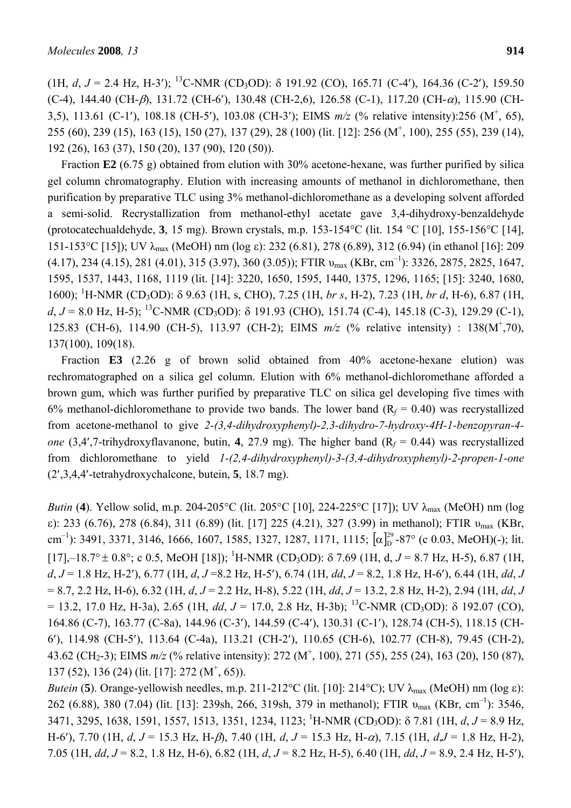(1H, *d*,  $J = 2.4$  Hz, H-3'); <sup>13</sup>C-NMR (CD<sub>3</sub>OD): δ 191.92 (CO), 165.71 (C-4'), 164.36 (C-2'), 159.50 (C-4), 144.40 (CH- $\beta$ ), 131.72 (CH-6'), 130.48 (CH-2,6), 126.58 (C-1), 117.20 (CH- $\alpha$ ), 115.90 (CH-3,5), 113.61 (C-1′), 108.18 (CH-5′), 103.08 (CH-3′); EIMS *m/z* (% relative intensity):256 (M+ , 65), 255 (60), 239 (15), 163 (15), 150 (27), 137 (29), 28 (100) (lit. [12]: 256 (M<sup>+</sup>, 100), 255 (55), 239 (14), 192 (26), 163 (37), 150 (20), 137 (90), 120 (50)).

Fraction **E2** (6.75 g) obtained from elution with 30% acetone-hexane, was further purified by silica gel column chromatography. Elution with increasing amounts of methanol in dichloromethane, then purification by preparative TLC using 3% methanol-dichloromethane as a developing solvent afforded a semi-solid. Recrystallization from methanol-ethyl acetate gave 3,4-dihydroxy-benzaldehyde (protocatechualdehyde, **3**, 15 mg). Brown crystals, m.p. 153-154°C (lit. 154 °C [10], 155-156°C [14], 151-153°C [15]); UV λmax (MeOH) nm (log ε): 232 (6.81), 278 (6.89), 312 (6.94) (in ethanol [16]: 209  $(4.17), 234 (4.15), 281 (4.01), 315 (3.97), 360 (3.05))$ ; FTIR  $v_{\text{max}}$  (KBr, cm<sup>-1</sup>): 3326, 2875, 2825, 1647, 1595, 1537, 1443, 1168, 1119 (lit. [14]: 3220, 1650, 1595, 1440, 1375, 1296, 1165; [15]: 3240, 1680, 1600); <sup>1</sup> H-NMR (CD3OD): δ 9.63 (1H, s, CHO), 7.25 (1H, *br s*, H-2), 7.23 (1H, *br d*, H-6), 6.87 (1H,  $d, J = 8.0$  Hz, H-5); <sup>13</sup>C-NMR (CD<sub>3</sub>OD): δ 191.93 (CHO), 151.74 (C-4), 145.18 (C-3), 129.29 (C-1), 125.83 (CH-6), 114.90 (CH-5), 113.97 (CH-2); EIMS  $m/z$  (% relative intensity) : 138(M<sup>+</sup>,70), 137(100), 109(18).

Fraction **E3** (2.26 g of brown solid obtained from 40% acetone-hexane elution) was rechromatographed on a silica gel column. Elution with 6% methanol-dichloromethane afforded a brown gum, which was further purified by preparative TLC on silica gel developing five times with 6% methanol-dichloromethane to provide two bands. The lower band  $(R_f = 0.40)$  was recrystallized from acetone-methanol to give *2-(3,4-dihydroxyphenyl)-2,3-dihydro-7-hydroxy-4H-1-benzopyran-4 one* (3,4',7-trihydroxyflavanone, butin, **4**, 27.9 mg). The higher band ( $R_f = 0.44$ ) was recrystallized from dichloromethane to yield *1-(2,4-dihydroxyphenyl)-3-(3,4-dihydroxyphenyl)-2-propen-1-one*  (2′,3,4,4′-tetrahydroxychalcone, butein, **5**, 18.7 mg).

*Butin* (4). Yellow solid, m.p. 204-205°C (lit. 205°C [10], 224-225°C [17]); UV  $\lambda_{\text{max}}$  (MeOH) nm (log ε): 233 (6.76), 278 (6.84), 311 (6.89) (lit. [17] 225 (4.21), 327 (3.99) in methanol); FTIR υmax (KBr, cm<sup>-1</sup>): 3491, 3371, 3146, 1666, 1607, 1585, 1327, 1287, 1171, 1115;  $\left[\alpha\right]_D^{29}$ -87° (c 0.03, MeOH)(-); lit. [17],–18.7°  $\pm$  0.8°; c 0.5, MeOH [18]); <sup>1</sup>H-NMR (CD<sub>3</sub>OD):  $\delta$  7.69 (1H, d, J = 8.7 Hz, H-5), 6.87 (1H, *d*, *J* = 1.8 Hz, H-2′), 6.77 (1H, *d*, *J* =8.2 Hz, H-5′), 6.74 (1H, *dd*, *J* = 8.2, 1.8 Hz, H-6′), 6.44 (1H, *dd*, *J*  = 8.7, 2.2 Hz, H-6), 6.32 (1H, *d*, *J* = 2.2 Hz, H-8), 5.22 (1H, *dd*, *J* = 13.2, 2.8 Hz, H-2), 2.94 (1H, *dd*, *J*   $= 13.2, 17.0$  Hz, H-3a), 2.65 (1H, *dd, J* = 17.0, 2.8 Hz, H-3b); <sup>13</sup>C-NMR (CD<sub>3</sub>OD):  $\delta$  192.07 (CO), 164.86 (C-7), 163.77 (C-8a), 144.96 (C-3′), 144.59 (C-4′), 130.31 (C-1′), 128.74 (CH-5), 118.15 (CH-6′), 114.98 (CH-5′), 113.64 (C-4a), 113.21 (CH-2′), 110.65 (CH-6), 102.77 (CH-8), 79.45 (CH-2), 43.62 (CH<sub>2</sub>-3); EIMS  $m/z$  (% relative intensity): 272 (M<sup>+</sup>, 100), 271 (55), 255 (24), 163 (20), 150 (87),  $137 (52)$ ,  $136 (24)$  (lit. [17]:  $272 (M^+, 65)$ ).

*Butein* (**5**). Orange-yellowish needles, m.p. 211-212°C (lit. [10]: 214°C); UV  $\lambda_{\text{max}}$  (MeOH) nm (log  $\varepsilon$ ): 262 (6.88), 380 (7.04) (lit. [13]: 239sh, 266, 319sh, 379 in methanol); FTIR  $v_{\text{max}}$  (KBr, cm<sup>-1</sup>): 3546, 3471, 3295, 1638, 1591, 1557, 1513, 1351, 1234, 1123; <sup>1</sup> H-NMR (CD3OD): δ 7.81 (1H, *d*, *J* = 8.9 Hz, H-6′), 7.70 (1H, *d*, *J* = 15.3 Hz, H-β), 7.40 (1H, *d*, *J* = 15.3 Hz, H-α), 7.15 (1H, *d*,*J* = 1.8 Hz, H-2), 7.05 (1H, *dd*, *J* = 8.2, 1.8 Hz, H-6), 6.82 (1H, *d*, *J* = 8.2 Hz, H-5), 6.40 (1H, *dd*, *J* = 8.9, 2.4 Hz, H-5′),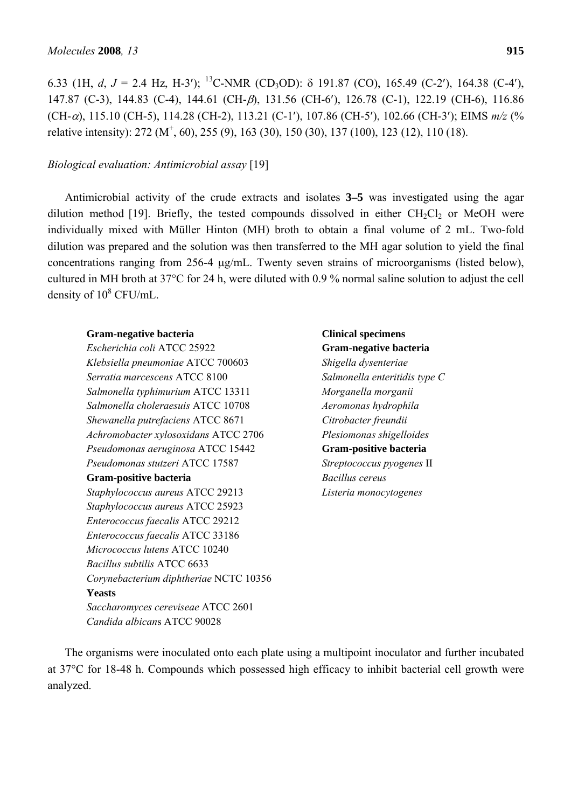6.33 (1H, *d, J* = 2.4 Hz, H-3'); <sup>13</sup>C-NMR (CD<sub>3</sub>OD):  $\delta$  191.87 (CO), 165.49 (C-2'), 164.38 (C-4'), 147.87 (C-3), 144.83 (C-4), 144.61 (CH-β), 131.56 (CH-6′), 126.78 (C-1), 122.19 (CH-6), 116.86 (CH-α), 115.10 (CH-5), 114.28 (CH-2), 113.21 (C-1′), 107.86 (CH-5′), 102.66 (CH-3′); EIMS *m/z* (% relative intensity): 272 ( $M^+$ , 60), 255 (9), 163 (30), 150 (30), 137 (100), 123 (12), 110 (18).

# *Biological evaluation: Antimicrobial assay* [19]

Antimicrobial activity of the crude extracts and isolates **3–5** was investigated using the agar dilution method [19]. Briefly, the tested compounds dissolved in either  $CH_2Cl_2$  or MeOH were individually mixed with Müller Hinton (MH) broth to obtain a final volume of 2 mL. Two-fold dilution was prepared and the solution was then transferred to the MH agar solution to yield the final concentrations ranging from 256-4 μg/mL. Twenty seven strains of microorganisms (listed below), cultured in MH broth at 37°C for 24 h, were diluted with 0.9 % normal saline solution to adjust the cell density of  $10^8$  CFU/mL.

# **Gram-negative bacteria**

*Escherichia coli* ATCC 25922 *Klebsiella pneumoniae* ATCC 700603 *Serratia marcescens* ATCC 8100 *Salmonella typhimurium* ATCC 13311 *Salmonella choleraesuis* ATCC 10708 *Shewanella putrefaciens* ATCC 8671 *Achromobacter xylosoxidans* ATCC 2706 *Pseudomonas aeruginosa* ATCC 15442 *Pseudomonas stutzeri* ATCC 17587 **Gram-positive bacteria**  *Staphylococcus aureus* ATCC 29213 *Staphylococcus aureus* ATCC 25923 *Enterococcus faecalis* ATCC 29212 *Enterococcus faecalis* ATCC 33186 *Micrococcus lutens* ATCC 10240 *Bacillus subtilis* ATCC 6633 *Corynebacterium diphtheriae* NCTC 10356 **Yeasts**  *Saccharomyces cereviseae* ATCC 2601 *Candida albican*s ATCC 90028

**Clinical specimens Gram-negative bacteria**  *Shigella dysenteriae Salmonella enteritidis type C Morganella morganii Aeromonas hydrophila Citrobacter freundii Plesiomonas shigelloides* **Gram-positive bacteria**  *Streptococcus pyogenes* II *Bacillus cereus Listeria monocytogenes*

The organisms were inoculated onto each plate using a multipoint inoculator and further incubated at 37°C for 18-48 h. Compounds which possessed high efficacy to inhibit bacterial cell growth were analyzed.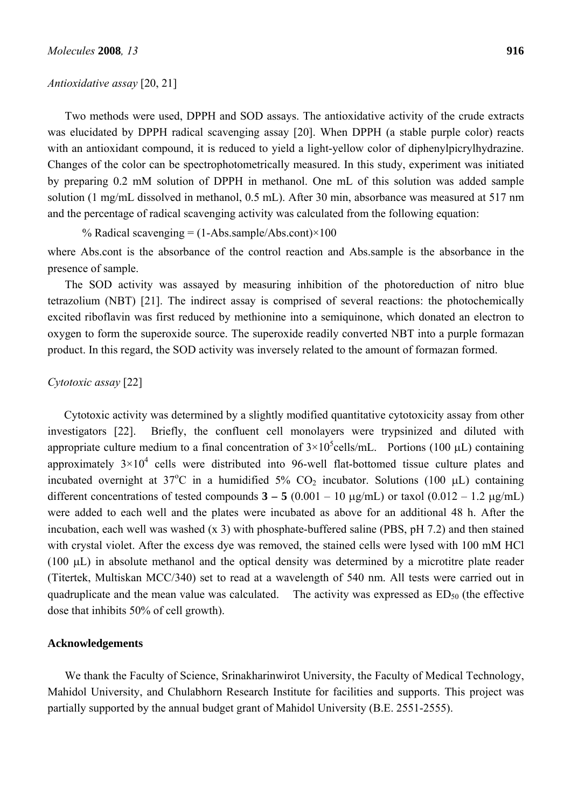#### *Antioxidative assay* [20, 21]

Two methods were used, DPPH and SOD assays. The antioxidative activity of the crude extracts was elucidated by DPPH radical scavenging assay [20]. When DPPH (a stable purple color) reacts with an antioxidant compound, it is reduced to yield a light-yellow color of diphenylpicrylhydrazine.

Changes of the color can be spectrophotometrically measured. In this study, experiment was initiated by preparing 0.2 mM solution of DPPH in methanol. One mL of this solution was added sample solution (1 mg/mL dissolved in methanol, 0.5 mL). After 30 min, absorbance was measured at 517 nm and the percentage of radical scavenging activity was calculated from the following equation:

% Radical scavenging =  $(1-Abs.sumle/Abs.cont) \times 100$ 

where Abs.cont is the absorbance of the control reaction and Abs.sample is the absorbance in the presence of sample.

The SOD activity was assayed by measuring inhibition of the photoreduction of nitro blue tetrazolium (NBT) [21]. The indirect assay is comprised of several reactions: the photochemically excited riboflavin was first reduced by methionine into a semiquinone, which donated an electron to oxygen to form the superoxide source. The superoxide readily converted NBT into a purple formazan product. In this regard, the SOD activity was inversely related to the amount of formazan formed.

## *Cytotoxic assay* [22]

 Cytotoxic activity was determined by a slightly modified quantitative cytotoxicity assay from other investigators [22]. Briefly, the confluent cell monolayers were trypsinized and diluted with appropriate culture medium to a final concentration of  $3\times10^5$ cells/mL. Portions (100 µL) containing approximately  $3\times10^4$  cells were distributed into 96-well flat-bottomed tissue culture plates and incubated overnight at  $37^{\circ}$ C in a humidified  $5\%$  CO<sub>2</sub> incubator. Solutions (100 µL) containing different concentrations of tested compounds  $3 - 5 (0.001 - 10 \text{ µg/mL})$  or taxol  $(0.012 - 1.2 \text{ µg/mL})$ were added to each well and the plates were incubated as above for an additional 48 h. After the incubation, each well was washed (x 3) with phosphate-buffered saline (PBS, pH 7.2) and then stained with crystal violet. After the excess dye was removed, the stained cells were lysed with 100 mM HCl (100 μL) in absolute methanol and the optical density was determined by a microtitre plate reader (Titertek, Multiskan MCC/340) set to read at a wavelength of 540 nm. All tests were carried out in quadruplicate and the mean value was calculated. The activity was expressed as  $ED_{50}$  (the effective dose that inhibits 50% of cell growth).

#### **Acknowledgements**

We thank the Faculty of Science, Srinakharinwirot University, the Faculty of Medical Technology, Mahidol University, and Chulabhorn Research Institute for facilities and supports. This project was partially supported by the annual budget grant of Mahidol University (B.E. 2551-2555).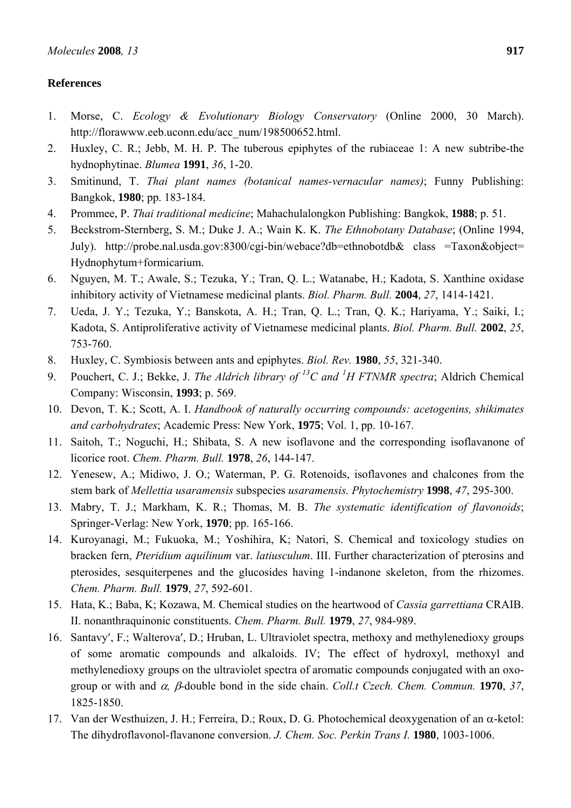# **References**

- 1. Morse, C. *Ecology & Evolutionary Biology Conservatory* (Online 2000, 30 March). http://florawww.eeb.uconn.edu/acc\_num/198500652.html.
- 2. Huxley, C. R.; Jebb, M. H. P. The tuberous epiphytes of the rubiaceae 1: A new subtribe-the hydnophytinae. *Blumea* **1991**, *36*, 1-20.
- 3. Smitinund, T. *Thai plant names (botanical names-vernacular names)*; Funny Publishing: Bangkok, **1980**; pp. 183-184.
- 4. Prommee, P. *Thai traditional medicine*; Mahachulalongkon Publishing: Bangkok, **1988**; p. 51.
- 5. Beckstrom-Sternberg, S. M.; Duke J. A.; Wain K. K. *The Ethnobotany Database*; (Online 1994, July). http://probe.nal.usda.gov:8300/cgi-bin/webace?db=ethnobotdb& class =Taxon&object= Hydnophytum+formicarium.
- 6. Nguyen, M. T.; Awale, S.; Tezuka, Y.; Tran, Q. L.; Watanabe, H.; Kadota, S. Xanthine oxidase inhibitory activity of Vietnamese medicinal plants. *Biol. Pharm. Bull.* **2004**, *27*, 1414-1421.
- 7. Ueda, J. Y.; Tezuka, Y.; Banskota, A. H.; Tran, Q. L.; Tran, Q. K.; Hariyama, Y.; Saiki, I.; Kadota, S. Antiproliferative activity of Vietnamese medicinal plants. *Biol. Pharm. Bull.* **2002**, *25*, 753-760.
- 8. Huxley, C. Symbiosis between ants and epiphytes. *Biol. Rev.* **1980**, *55*, 321-340.
- 9. Pouchert, C. J.; Bekke, J. *The Aldrich library of 13C and 1 H FTNMR spectra*; Aldrich Chemical Company: Wisconsin, **1993**; p. 569.
- 10. Devon, T. K.; Scott, A. I. *Handbook of naturally occurring compounds: acetogenins, shikimates and carbohydrates*; Academic Press: New York, **1975**; Vol. 1, pp. 10-167.
- 11. Saitoh, T.; Noguchi, H.; Shibata, S. A new isoflavone and the corresponding isoflavanone of licorice root. *Chem. Pharm. Bull.* **1978**, *26*, 144-147.
- 12. Yenesew, A.; Midiwo, J. O.; Waterman, P. G. Rotenoids, isoflavones and chalcones from the stem bark of *Mellettia usaramensis* subspecies *usaramensis. Phytochemistry* **1998**, *47*, 295-300.
- 13. Mabry, T. J.; Markham, K. R.; Thomas, M. B. *The systematic identification of flavonoids*; Springer-Verlag: New York, **1970**; pp. 165-166.
- 14. Kuroyanagi, M.; Fukuoka, M.; Yoshihira, K; Natori, S. Chemical and toxicology studies on bracken fern, *Pteridium aquilinum* var. *latiusculum*. III. Further characterization of pterosins and pterosides, sesquiterpenes and the glucosides having 1-indanone skeleton, from the rhizomes. *Chem. Pharm. Bull.* **1979**, *27*, 592-601.
- 15. Hata, K.; Baba, K; Kozawa, M. Chemical studies on the heartwood of *Cassia garrettiana* CRAIB. II. nonanthraquinonic constituents. *Chem. Pharm. Bull.* **1979**, *27*, 984-989.
- 16. Santavy′, F.; Walterova′, D.; Hruban, L. Ultraviolet spectra, methoxy and methylenedioxy groups of some aromatic compounds and alkaloids. IV; The effect of hydroxyl, methoxyl and methylenedioxy groups on the ultraviolet spectra of aromatic compounds conjugated with an oxogroup or with and α*,* β*-*double bond in the side chain. *Coll.t Czech. Chem. Commun.* **1970**, *37*, 1825-1850.
- 17. Van der Westhuizen, J. H.; Ferreira, D.; Roux, D. G. Photochemical deoxygenation of an α-ketol: The dihydroflavonol-flavanone conversion. *J. Chem. Soc. Perkin Trans I.* **1980**, 1003-1006.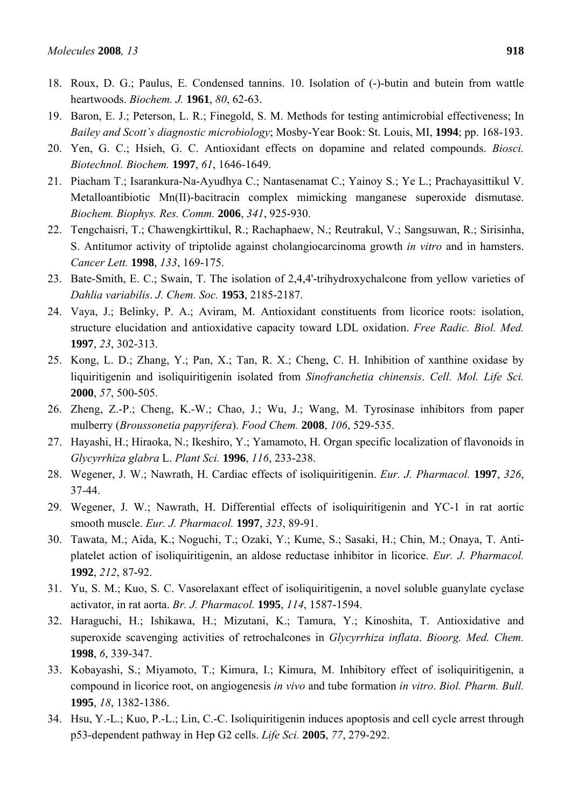- 18. Roux, D. G.; Paulus, E. Condensed tannins. 10. Isolation of (-)-butin and butein from wattle heartwoods. *Biochem. J.* **1961**, *80*, 62-63.
- 19. Baron, E. J.; Peterson, L. R.; Finegold, S. M. Methods for testing antimicrobial effectiveness; In *Bailey and Scott's diagnostic microbiology*; Mosby-Year Book: St. Louis, MI, **1994**; pp. 168-193.
- 20. Yen, G. C.; Hsieh, G. C. Antioxidant effects on dopamine and related compounds. *Biosci. Biotechnol. Biochem.* **1997**, *61*, 1646-1649.
- 21. Piacham T.; Isarankura-Na-Ayudhya C.; Nantasenamat C.; Yainoy S.; Ye L.; Prachayasittikul V. Metalloantibiotic Mn(II)-bacitracin complex mimicking manganese superoxide dismutase. *Biochem. Biophys. Res. Comm.* **2006**, *341*, 925-930.
- 22. Tengchaisri, T.; Chawengkirttikul, R.; Rachaphaew, N.; Reutrakul, V.; Sangsuwan, R.; Sirisinha, S. Antitumor activity of triptolide against cholangiocarcinoma growth *in vitro* and in hamsters. *Cancer Lett.* **1998**, *133*, 169-175.
- 23. Bate-Smith, E. C.; Swain, T. The isolation of 2,4,4'-trihydroxychalcone from yellow varieties of *Dahlia variabilis*. *J. Chem. Soc.* **1953**, 2185-2187.
- 24. Vaya, J.; Belinky, P. A.; Aviram, M. Antioxidant constituents from licorice roots: isolation, structure elucidation and antioxidative capacity toward LDL oxidation. *Free Radic. Biol. Med.* **1997**, *23*, 302-313.
- 25. Kong, L. D.; Zhang, Y.; Pan, X.; Tan, R. X.; Cheng, C. H. Inhibition of xanthine oxidase by liquiritigenin and isoliquiritigenin isolated from *Sinofranchetia chinensis*. *Cell. Mol. Life Sci.* **2000**, *57*, 500-505.
- 26. Zheng, Z.-P.; Cheng, K.-W.; Chao, J.; Wu, J.; Wang, M. Tyrosinase inhibitors from paper mulberry (*Broussonetia papyrifera*). *Food Chem.* **2008**, *106*, 529-535.
- 27. Hayashi, H.; Hiraoka, N.; Ikeshiro, Y.; Yamamoto, H. Organ specific localization of flavonoids in *Glycyrrhiza glabra* L. *Plant Sci.* **1996**, *116*, 233-238.
- 28. Wegener, J. W.; Nawrath, H. Cardiac effects of isoliquiritigenin. *Eur. J. Pharmacol.* **1997**, *326*, 37-44.
- 29. Wegener, J. W.; Nawrath, H. Differential effects of isoliquiritigenin and YC-1 in rat aortic smooth muscle. *Eur. J. Pharmacol.* **1997**, *323*, 89-91.
- 30. Tawata, M.; Aida, K.; Noguchi, T.; Ozaki, Y.; Kume, S.; Sasaki, H.; Chin, M.; Onaya, T. Antiplatelet action of isoliquiritigenin, an aldose reductase inhibitor in licorice. *Eur. J. Pharmacol.* **1992**, *212*, 87-92.
- 31. Yu, S. M.; Kuo, S. C. Vasorelaxant effect of isoliquiritigenin, a novel soluble guanylate cyclase activator, in rat aorta. *Br. J. Pharmacol.* **1995**, *114*, 1587-1594.
- 32. Haraguchi, H.; Ishikawa, H.; Mizutani, K.; Tamura, Y.; Kinoshita, T. Antioxidative and superoxide scavenging activities of retrochalcones in *Glycyrrhiza inflata*. *Bioorg. Med. Chem.* **1998**, *6*, 339-347.
- 33. Kobayashi, S.; Miyamoto, T.; Kimura, I.; Kimura, M. Inhibitory effect of isoliquiritigenin, a compound in licorice root, on angiogenesis *in vivo* and tube formation *in vitro*. *Biol. Pharm. Bull.* **1995**, *18*, 1382-1386.
- 34. Hsu, Y.-L.; Kuo, P.-L.; Lin, C.-C. Isoliquiritigenin induces apoptosis and cell cycle arrest through p53-dependent pathway in Hep G2 cells. *Life Sci.* **2005**, *77*, 279-292.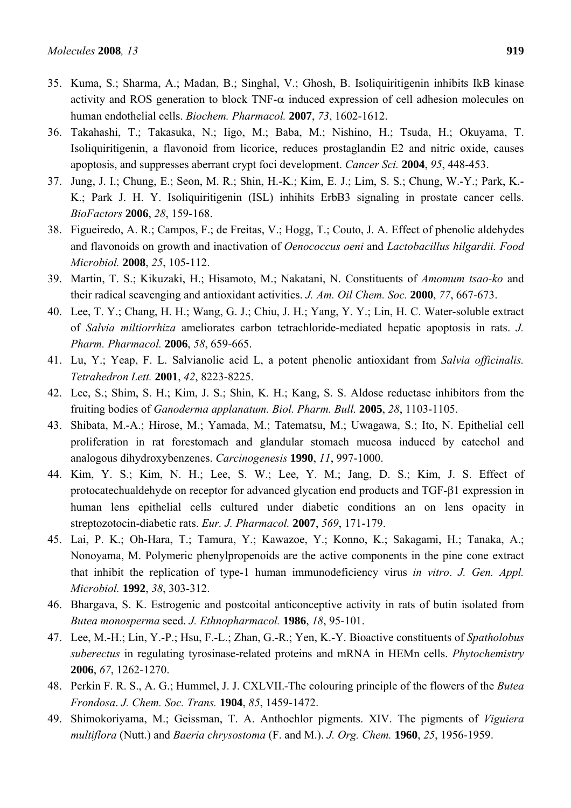- 35. Kuma, S.; Sharma, A.; Madan, B.; Singhal, V.; Ghosh, B. Isoliquiritigenin inhibits IkB kinase activity and ROS generation to block TNF- $\alpha$  induced expression of cell adhesion molecules on human endothelial cells. *Biochem. Pharmacol.* **2007**, *73*, 1602-1612.
- 36. Takahashi, T.; Takasuka, N.; Iigo, M.; Baba, M.; Nishino, H.; Tsuda, H.; Okuyama, T. Isoliquiritigenin, a flavonoid from licorice, reduces prostaglandin E2 and nitric oxide, causes apoptosis, and suppresses aberrant crypt foci development. *Cancer Sci.* **2004**, *95*, 448-453.
- 37. Jung, J. I.; Chung, E.; Seon, M. R.; Shin, H.-K.; Kim, E. J.; Lim, S. S.; Chung, W.-Y.; Park, K.- K.; Park J. H. Y. Isoliquiritigenin (ISL) inhihits ErbB3 signaling in prostate cancer cells. *BioFactors* **2006**, *28*, 159-168.
- 38. Figueiredo, A. R.; Campos, F.; de Freitas, V.; Hogg, T.; Couto, J. A. Effect of phenolic aldehydes and flavonoids on growth and inactivation of *Oenococcus oeni* and *Lactobacillus hilgardii. Food Microbiol.* **2008**, *25*, 105-112.
- 39. Martin, T. S.; Kikuzaki, H.; Hisamoto, M.; Nakatani, N. Constituents of *Amomum tsao-ko* and their radical scavenging and antioxidant activities. *J. Am. Oil Chem. Soc.* **2000**, *77*, 667-673.
- 40. Lee, T. Y.; Chang, H. H.; Wang, G. J.; Chiu, J. H.; Yang, Y. Y.; Lin, H. C. Water-soluble extract of *Salvia miltiorrhiza* ameliorates carbon tetrachloride-mediated hepatic apoptosis in rats. *J. Pharm. Pharmacol.* **2006**, *58*, 659-665.
- 41. Lu, Y.; Yeap, F. L. Salvianolic acid L, a potent phenolic antioxidant from *Salvia officinalis. Tetrahedron Lett.* **2001**, *42*, 8223-8225.
- 42. Lee, S.; Shim, S. H.; Kim, J. S.; Shin, K. H.; Kang, S. S. Aldose reductase inhibitors from the fruiting bodies of *Ganoderma applanatum. Biol. Pharm. Bull.* **2005**, *28*, 1103-1105.
- 43. Shibata, M.-A.; Hirose, M.; Yamada, M.; Tatematsu, M.; Uwagawa, S.; Ito, N. Epithelial cell proliferation in rat forestomach and glandular stomach mucosa induced by catechol and analogous dihydroxybenzenes. *Carcinogenesis* **1990**, *11*, 997-1000.
- 44. Kim, Y. S.; Kim, N. H.; Lee, S. W.; Lee, Y. M.; Jang, D. S.; Kim, J. S. Effect of protocatechualdehyde on receptor for advanced glycation end products and TGF-β1 expression in human lens epithelial cells cultured under diabetic conditions an on lens opacity in streptozotocin-diabetic rats. *Eur. J. Pharmacol.* **2007**, *569*, 171-179.
- 45. Lai, P. K.; Oh-Hara, T.; Tamura, Y.; Kawazoe, Y.; Konno, K.; Sakagami, H.; Tanaka, A.; Nonoyama, M. Polymeric phenylpropenoids are the active components in the pine cone extract that inhibit the replication of type-1 human immunodeficiency virus *in vitro*. *J. Gen. Appl. Microbiol.* **1992**, *38*, 303-312.
- 46. Bhargava, S. K. Estrogenic and postcoital anticonceptive activity in rats of butin isolated from *Butea monosperma* seed. *J. Ethnopharmacol.* **1986**, *18*, 95-101.
- 47. Lee, M.-H.; Lin, Y.-P.; Hsu, F.-L.; Zhan, G.-R.; Yen, K.-Y. Bioactive constituents of *Spatholobus suberectus* in regulating tyrosinase-related proteins and mRNA in HEMn cells. *Phytochemistry*  **2006**, *67*, 1262-1270.
- 48. Perkin F. R. S., A. G.; Hummel, J. J. CXLVII.-The colouring principle of the flowers of the *Butea Frondosa*. *J. Chem. Soc. Trans.* **1904**, *85*, 1459-1472.
- 49. Shimokoriyama, M.; Geissman, T. A. Anthochlor pigments. XIV. The pigments of *Viguiera multiflora* (Nutt.) and *Baeria chrysostoma* (F. and M.). *J. Org. Chem.* **1960**, *25*, 1956-1959.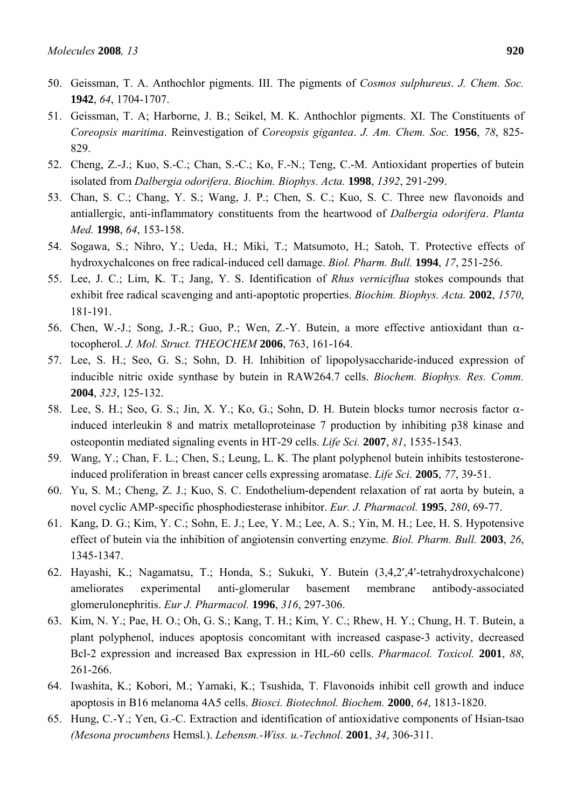- 50. Geissman, T. A. Anthochlor pigments. III. The pigments of *Cosmos sulphureus*. *J. Chem. Soc.* **1942**, *64*, 1704-1707.
- 51. Geissman, T. A; Harborne, J. B.; Seikel, M. K. Anthochlor pigments. XI. The Constituents of *Coreopsis maritima*. Reinvestigation of *Coreopsis gigantea*. *J. Am. Chem. Soc.* **1956**, *78*, 825- 829.
- 52. Cheng, Z.-J.; Kuo, S.-C.; Chan, S.-C.; Ko, F.-N.; Teng, C.-M. Antioxidant properties of butein isolated from *Dalbergia odorifera*. *Biochim. Biophys. Acta.* **1998**, *1392*, 291-299.
- 53. Chan, S. C.; Chang, Y. S.; Wang, J. P.; Chen, S. C.; Kuo, S. C. Three new flavonoids and antiallergic, anti-inflammatory constituents from the heartwood of *Dalbergia odorifera*. *Planta Med.* **1998**, *64*, 153-158.
- 54. Sogawa, S.; Nihro, Y.; Ueda, H.; Miki, T.; Matsumoto, H.; Satoh, T. Protective effects of hydroxychalcones on free radical-induced cell damage. *Biol. Pharm. Bull.* **1994**, *17*, 251-256.
- 55. Lee, J. C.; Lim, K. T.; Jang, Y. S. Identification of *Rhus verniciflua* stokes compounds that exhibit free radical scavenging and anti-apoptotic properties. *Biochim. Biophys. Acta.* **2002**, *1570*, 181-191.
- 56. Chen, W.-J.; Song, J.-R.; Guo, P.; Wen, Z.-Y. Butein, a more effective antioxidant than  $\alpha$ tocopherol. *J. Mol. Struct. THEOCHEM* **2006**, 763, 161-164.
- 57. Lee, S. H.; Seo, G. S.; Sohn, D. H. Inhibition of lipopolysaccharide-induced expression of inducible nitric oxide synthase by butein in RAW264.7 cells. *Biochem. Biophys. Res. Comm.* **2004**, *323*, 125-132.
- 58. Lee, S. H.; Seo, G. S.; Jin, X. Y.; Ko, G.; Sohn, D. H. Butein blocks tumor necrosis factor αinduced interleukin 8 and matrix metalloproteinase 7 production by inhibiting p38 kinase and osteopontin mediated signaling events in HT-29 cells. *Life Sci.* **2007**, *81*, 1535-1543.
- 59. Wang, Y.; Chan, F. L.; Chen, S.; Leung, L. K. The plant polyphenol butein inhibits testosteroneinduced proliferation in breast cancer cells expressing aromatase. *Life Sci.* **2005**, *77*, 39-51.
- 60. Yu, S. M.; Cheng, Z. J.; Kuo, S. C. Endothelium-dependent relaxation of rat aorta by butein, a novel cyclic AMP-specific phosphodiesterase inhibitor. *Eur. J. Pharmacol.* **1995**, *280*, 69-77.
- 61. Kang, D. G.; Kim, Y. C.; Sohn, E. J.; Lee, Y. M.; Lee, A. S.; Yin, M. H.; Lee, H. S. Hypotensive effect of butein via the inhibition of angiotensin converting enzyme. *Biol. Pharm. Bull.* **2003**, *26*, 1345-1347.
- 62. Hayashi, K.; Nagamatsu, T.; Honda, S.; Sukuki, Y. Butein (3,4,2′,4′-tetrahydroxychalcone) ameliorates experimental anti-glomerular basement membrane antibody-associated glomerulonephritis. *Eur J. Pharmacol.* **1996**, *316*, 297-306.
- 63. Kim, N. Y.; Pae, H. O.; Oh, G. S.; Kang, T. H.; Kim, Y. C.; Rhew, H. Y.; Chung, H. T. Butein, a plant polyphenol, induces apoptosis concomitant with increased caspase-3 activity, decreased Bcl-2 expression and increased Bax expression in HL-60 cells. *Pharmacol. Toxicol.* **2001**, *88*, 261-266.
- 64. Iwashita, K.; Kobori, M.; Yamaki, K.; Tsushida, T. Flavonoids inhibit cell growth and induce apoptosis in B16 melanoma 4A5 cells. *Biosci. Biotechnol. Biochem.* **2000**, *64*, 1813-1820.
- 65. Hung, C.-Y.; Yen, G.-C. Extraction and identification of antioxidative components of Hsian-tsao *(Mesona procumbens* Hemsl.). *Lebensm.-Wiss. u.-Technol.* **2001**, *34*, 306-311.